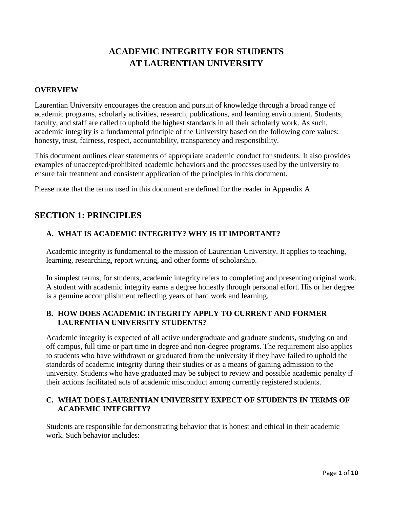## **ACADEMIC INTEGRITY FOR STUDENTS AT LAURENTIAN UNIVERSITY**

#### **OVERVIEW**

Laurentian University encourages the creation and pursuit of knowledge through a broad range of academic programs, scholarly activities, research, publications, and learning environment. Students, faculty, and staff are called to uphold the highest standards in all their scholarly work. As such, academic integrity is a fundamental principle of the University based on the following core values: honesty, trust, fairness, respect, accountability, transparency and responsibility.

This document outlines clear statements of appropriate academic conduct for students. It also provides examples of unaccepted/prohibited academic behaviors and the processes used by the university to ensure fair treatment and consistent application of the principles in this document.

Please note that the terms used in this document are defined for the reader in Appendix A.

### **SECTION 1: PRINCIPLES**

### **A. WHAT IS ACADEMIC INTEGRITY? WHY IS IT IMPORTANT?**

Academic integrity is fundamental to the mission of Laurentian University. It applies to teaching, learning, researching, report writing, and other forms of scholarship.

In simplest terms, for students, academic integrity refers to completing and presenting original work. A student with academic integrity earns a degree honestly through personal effort. His or her degree is a genuine accomplishment reflecting years of hard work and learning.

### **B. HOW DOES ACADEMIC INTEGRITY APPLY TO CURRENT AND FORMER LAURENTIAN UNIVERSITY STUDENTS?**

Academic integrity is expected of all active undergraduate and graduate students, studying on and off campus, full time or part time in degree and non-degree programs. The requirement also applies to students who have withdrawn or graduated from the university if they have failed to uphold the standards of academic integrity during their studies or as a means of gaining admission to the university. Students who have graduated may be subject to review and possible academic penalty if their actions facilitated acts of academic misconduct among currently registered students.

### **C. WHAT DOES LAURENTIAN UNIVERSITY EXPECT OF STUDENTS IN TERMS OF ACADEMIC INTEGRITY?**

Students are responsible for demonstrating behavior that is honest and ethical in their academic work. Such behavior includes: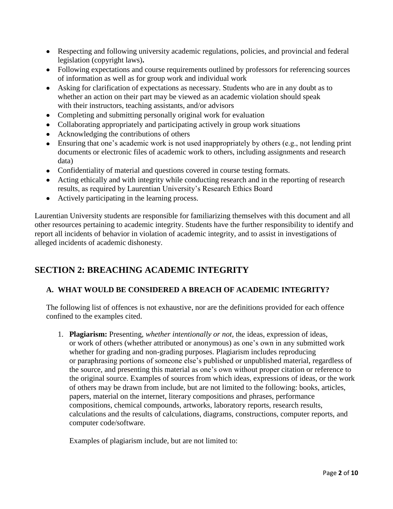- Respecting and following university academic regulations, policies, and provincial and federal legislation (copyright laws)**.**
- Following expectations and course requirements outlined by professors for referencing sources of information as well as for group work and individual work
- Asking for clarification of expectations as necessary. Students who are in any doubt as to whether an action on their part may be viewed as an academic violation should speak with their instructors, teaching assistants, and/or advisors
- Completing and submitting personally original work for evaluation
- Collaborating appropriately and participating actively in group work situations
- Acknowledging the contributions of others
- Ensuring that one's academic work is not used inappropriately by others (e.g., not lending print documents or electronic files of academic work to others, including assignments and research data)
- Confidentiality of material and questions covered in course testing formats.
- Acting ethically and with integrity while conducting research and in the reporting of research results, as required by Laurentian University's Research Ethics Board
- Actively participating in the learning process.

Laurentian University students are responsible for familiarizing themselves with this document and all other resources pertaining to academic integrity. Students have the further responsibility to identify and report all incidents of behavior in violation of academic integrity, and to assist in investigations of alleged incidents of academic dishonesty.

## **SECTION 2: BREACHING ACADEMIC INTEGRITY**

### **A. WHAT WOULD BE CONSIDERED A BREACH OF ACADEMIC INTEGRITY?**

The following list of offences is not exhaustive, nor are the definitions provided for each offence confined to the examples cited.

1. **Plagiarism:** Presenting, *whether intentionally or not*, the ideas, expression of ideas, or work of others (whether attributed or anonymous) as one's own in any submitted work whether for grading and non-grading purposes. Plagiarism includes reproducing or paraphrasing portions of someone else's published or unpublished material, regardless of the source, and presenting this material as one's own without proper citation or reference to the original source. Examples of sources from which ideas, expressions of ideas, or the work of others may be drawn from include, but are not limited to the following: books, articles, papers, material on the internet, literary compositions and phrases, performance compositions, chemical compounds, artworks, laboratory reports, research results, calculations and the results of calculations, diagrams, constructions, computer reports, and computer code/software.

Examples of plagiarism include, but are not limited to: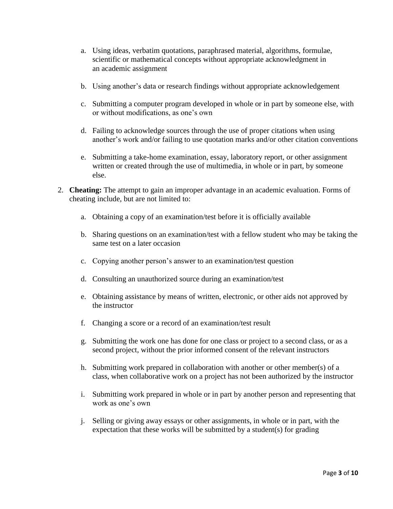- a. Using ideas, verbatim quotations, paraphrased material, algorithms, formulae, scientific or mathematical concepts without appropriate acknowledgment in an academic assignment
- b. Using another's data or research findings without appropriate acknowledgement
- c. Submitting a computer program developed in whole or in part by someone else, with or without modifications, as one's own
- d. Failing to acknowledge sources through the use of proper citations when using another's work and/or failing to use quotation marks and/or other citation conventions
- e. Submitting a take-home examination, essay, laboratory report, or other assignment written or created through the use of multimedia, in whole or in part, by someone else.
- 2. **Cheating:** The attempt to gain an improper advantage in an academic evaluation. Forms of cheating include, but are not limited to:
	- a. Obtaining a copy of an examination/test before it is officially available
	- b. Sharing questions on an examination/test with a fellow student who may be taking the same test on a later occasion
	- c. Copying another person's answer to an examination/test question
	- d. Consulting an unauthorized source during an examination/test
	- e. Obtaining assistance by means of written, electronic, or other aids not approved by the instructor
	- f. Changing a score or a record of an examination/test result
	- g. Submitting the work one has done for one class or project to a second class, or as a second project, without the prior informed consent of the relevant instructors
	- h. Submitting work prepared in collaboration with another or other member(s) of a class, when collaborative work on a project has not been authorized by the instructor
	- i. Submitting work prepared in whole or in part by another person and representing that work as one's own
	- j. Selling or giving away essays or other assignments, in whole or in part, with the expectation that these works will be submitted by a student(s) for grading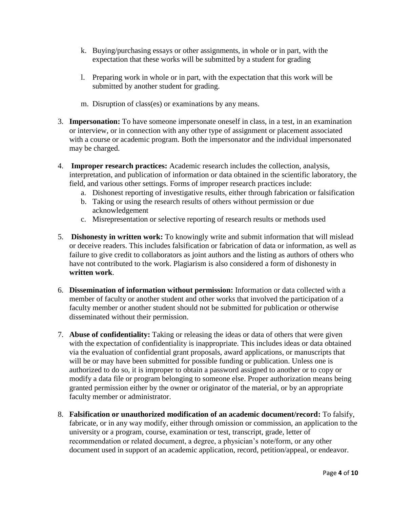- k. Buying/purchasing essays or other assignments, in whole or in part, with the expectation that these works will be submitted by a student for grading
- l. Preparing work in whole or in part, with the expectation that this work will be submitted by another student for grading.
- m. Disruption of class(es) or examinations by any means.
- 3. **Impersonation:** To have someone impersonate oneself in class, in a test, in an examination or interview, or in connection with any other type of assignment or placement associated with a course or academic program. Both the impersonator and the individual impersonated may be charged.
- 4. **Improper research practices:** Academic research includes the collection, analysis, interpretation, and publication of information or data obtained in the scientific laboratory, the field, and various other settings. Forms of improper research practices include:
	- a. Dishonest reporting of investigative results, either through fabrication or falsification
	- b. Taking or using the research results of others without permission or due acknowledgement
	- c. Misrepresentation or selective reporting of research results or methods used
- 5. **Dishonesty in written work:** To knowingly write and submit information that will mislead or deceive readers. This includes falsification or fabrication of data or information, as well as failure to give credit to collaborators as joint authors and the listing as authors of others who have not contributed to the work. Plagiarism is also considered a form of dishonesty in **written work**.
- 6. **Dissemination of information without permission:** Information or data collected with a member of faculty or another student and other works that involved the participation of a faculty member or another student should not be submitted for publication or otherwise disseminated without their permission.
- 7. **Abuse of confidentiality:** Taking or releasing the ideas or data of others that were given with the expectation of confidentiality is inappropriate. This includes ideas or data obtained via the evaluation of confidential grant proposals, award applications, or manuscripts that will be or may have been submitted for possible funding or publication. Unless one is authorized to do so, it is improper to obtain a password assigned to another or to copy or modify a data file or program belonging to someone else. Proper authorization means being granted permission either by the owner or originator of the material, or by an appropriate faculty member or administrator.
- 8. **Falsification or unauthorized modification of an academic document/record:** To falsify, fabricate, or in any way modify, either through omission or commission, an application to the university or a program, course, examination or test, transcript, grade, letter of recommendation or related document, a degree, a physician's note/form, or any other document used in support of an academic application, record, petition/appeal, or endeavor.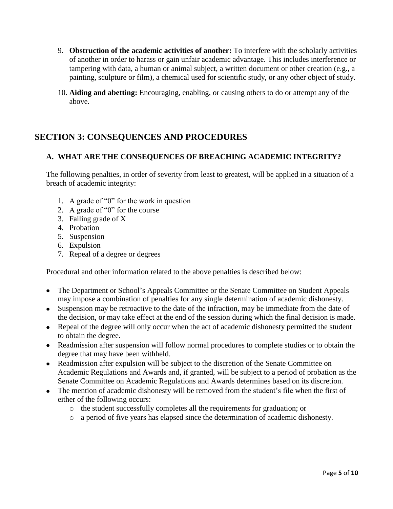- 9. **Obstruction of the academic activities of another:** To interfere with the scholarly activities of another in order to harass or gain unfair academic advantage. This includes interference or tampering with data, a human or animal subject, a written document or other creation (e.g., a painting, sculpture or film), a chemical used for scientific study, or any other object of study.
- 10. **Aiding and abetting:** Encouraging, enabling, or causing others to do or attempt any of the above.

## **SECTION 3: CONSEQUENCES AND PROCEDURES**

#### **A. WHAT ARE THE CONSEQUENCES OF BREACHING ACADEMIC INTEGRITY?**

The following penalties, in order of severity from least to greatest, will be applied in a situation of a breach of academic integrity:

- 1. A grade of "0" for the work in question
- 2. A grade of "0" for the course
- 3. Failing grade of X
- 4. Probation
- 5. Suspension
- 6. Expulsion
- 7. Repeal of a degree or degrees

Procedural and other information related to the above penalties is described below:

- The Department or School's Appeals Committee or the Senate Committee on Student Appeals  $\bullet$ may impose a combination of penalties for any single determination of academic dishonesty.
- Suspension may be retroactive to the date of the infraction, may be immediate from the date of the decision, or may take effect at the end of the session during which the final decision is made.
- Repeal of the degree will only occur when the act of academic dishonesty permitted the student to obtain the degree.
- Readmission after suspension will follow normal procedures to complete studies or to obtain the degree that may have been withheld.
- Readmission after expulsion will be subject to the discretion of the Senate Committee on Academic Regulations and Awards and, if granted, will be subject to a period of probation as the Senate Committee on Academic Regulations and Awards determines based on its discretion.
- The mention of academic dishonesty will be removed from the student's file when the first of either of the following occurs:
	- o the student successfully completes all the requirements for graduation; or
	- o a period of five years has elapsed since the determination of academic dishonesty.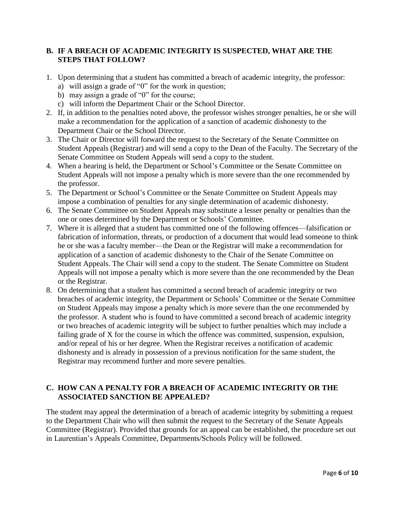#### **B. IF A BREACH OF ACADEMIC INTEGRITY IS SUSPECTED, WHAT ARE THE STEPS THAT FOLLOW?**

- 1. Upon determining that a student has committed a breach of academic integrity, the professor:
	- a) will assign a grade of "0" for the work in question;
	- b) may assign a grade of "0" for the course;
	- c) will inform the Department Chair or the School Director.
- 2. If, in addition to the penalties noted above, the professor wishes stronger penalties, he or she will make a recommendation for the application of a sanction of academic dishonesty to the Department Chair or the School Director.
- 3. The Chair or Director will forward the request to the Secretary of the Senate Committee on Student Appeals (Registrar) and will send a copy to the Dean of the Faculty. The Secretary of the Senate Committee on Student Appeals will send a copy to the student.
- 4. When a hearing is held, the Department or School's Committee or the Senate Committee on Student Appeals will not impose a penalty which is more severe than the one recommended by the professor.
- 5. The Department or School's Committee or the Senate Committee on Student Appeals may impose a combination of penalties for any single determination of academic dishonesty.
- 6. The Senate Committee on Student Appeals may substitute a lesser penalty or penalties than the one or ones determined by the Department or Schools' Committee.
- 7. Where it is alleged that a student has committed one of the following offences—falsification or fabrication of information, threats, or production of a document that would lead someone to think he or she was a faculty member—the Dean or the Registrar will make a recommendation for application of a sanction of academic dishonesty to the Chair of the Senate Committee on Student Appeals. The Chair will send a copy to the student. The Senate Committee on Student Appeals will not impose a penalty which is more severe than the one recommended by the Dean or the Registrar.
- 8. On determining that a student has committed a second breach of academic integrity or two breaches of academic integrity, the Department or Schools' Committee or the Senate Committee on Student Appeals may impose a penalty which is more severe than the one recommended by the professor. A student who is found to have committed a second breach of academic integrity or two breaches of academic integrity will be subject to further penalties which may include a failing grade of X for the course in which the offence was committed, suspension, expulsion, and/or repeal of his or her degree. When the Registrar receives a notification of academic dishonesty and is already in possession of a previous notification for the same student, the Registrar may recommend further and more severe penalties.

### **C. HOW CAN A PENALTY FOR A BREACH OF ACADEMIC INTEGRITY OR THE ASSOCIATED SANCTION BE APPEALED?**

The student may appeal the determination of a breach of academic integrity by submitting a request to the Department Chair who will then submit the request to the Secretary of the Senate Appeals Committee (Registrar). Provided that grounds for an appeal can be established, the procedure set out in Laurentian's Appeals Committee, Departments/Schools Policy will be followed.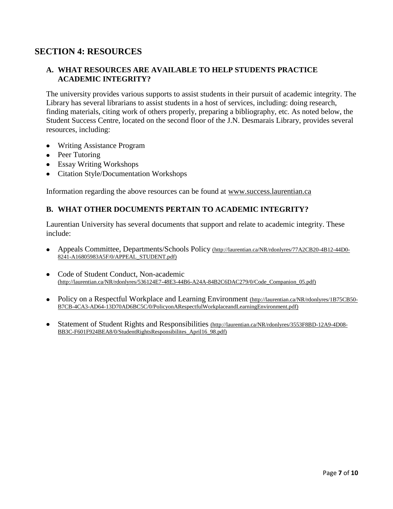### **SECTION 4: RESOURCES**

#### **A. WHAT RESOURCES ARE AVAILABLE TO HELP STUDENTS PRACTICE ACADEMIC INTEGRITY?**

The university provides various supports to assist students in their pursuit of academic integrity. The Library has several librarians to assist students in a host of services, including: doing research, finding materials, citing work of others properly, preparing a bibliography, etc. As noted below, the Student Success Centre, located on the second floor of the J.N. Desmarais Library, provides several resources, including:

- Writing Assistance Program
- Peer Tutoring
- Essay Writing Workshops
- Citation Style/Documentation Workshops  $\bullet$

Information regarding the above resources can be found at www.success.laurentian.ca

#### **B. WHAT OTHER DOCUMENTS PERTAIN TO ACADEMIC INTEGRITY?**

Laurentian University has several documents that support and relate to academic integrity. These include:

- Appeals Committee, Departments/Schools Policy (http://laurentian.ca/NR/rdonlyres/77A2CB20-4B12-44D0- 8241-A16805983A5F/0/APPEAL\_STUDENT.pdf)
- Code of Student Conduct, Non-academic  $\bullet$ (http://laurentian.ca/NR/rdonlyres/536124E7-48E3-44B6-A24A-84B2C6DAC279/0/Code\_Companion\_05.pdf)
- Policy on a Respectful Workplace and Learning Environment (http://laurentian.ca/NR/rdonlyres/1B75CB50-B7CB-4CA3-AD64-13D70AD6BC5C/0/PolicyonARespectfulWorkplaceandLearningEnvironment.pdf)
- Statement of Student Rights and Responsibilities (http://laurentian.ca/NR/rdonlyres/3553F8BD-12A9-4D08- BB3C-F601F924BEA8/0/StudentRightsResponsibilites\_April16\_98.pdf)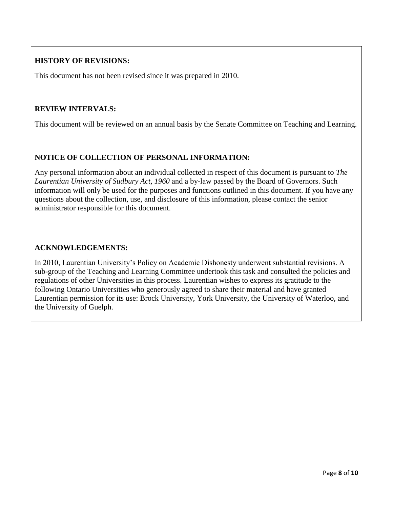### **HISTORY OF REVISIONS:**

This document has not been revised since it was prepared in 2010.

#### **REVIEW INTERVALS:**

This document will be reviewed on an annual basis by the Senate Committee on Teaching and Learning.

### **NOTICE OF COLLECTION OF PERSONAL INFORMATION:**

Any personal information about an individual collected in respect of this document is pursuant to *The Laurentian University of Sudbury Act, 1960* and a by-law passed by the Board of Governors. Such information will only be used for the purposes and functions outlined in this document. If you have any questions about the collection, use, and disclosure of this information, please contact the senior administrator responsible for this document.

#### **ACKNOWLEDGEMENTS:**

In 2010, Laurentian University's Policy on Academic Dishonesty underwent substantial revisions. A sub-group of the Teaching and Learning Committee undertook this task and consulted the policies and regulations of other Universities in this process. Laurentian wishes to express its gratitude to the following Ontario Universities who generously agreed to share their material and have granted Laurentian permission for its use: Brock University, York University, the University of Waterloo, and the University of Guelph.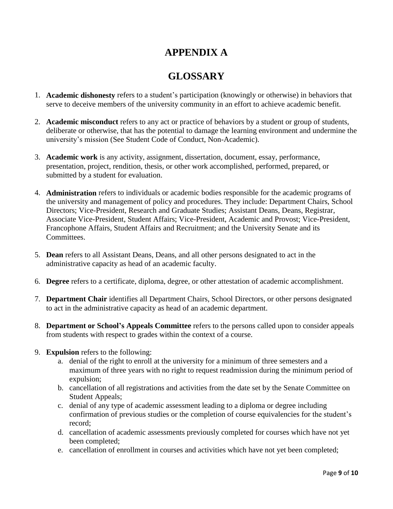# **APPENDIX A**

# **GLOSSARY**

- 1. **Academic dishonesty** refers to a student's participation (knowingly or otherwise) in behaviors that serve to deceive members of the university community in an effort to achieve academic benefit.
- 2. **Academic misconduct** refers to any act or practice of behaviors by a student or group of students, deliberate or otherwise, that has the potential to damage the learning environment and undermine the university's mission (See Student Code of Conduct, Non-Academic).
- 3. **Academic work** is any activity, assignment, dissertation, document, essay, performance, presentation, project, rendition, thesis, or other work accomplished, performed, prepared, or submitted by a student for evaluation.
- 4. **Administration** refers to individuals or academic bodies responsible for the academic programs of the university and management of policy and procedures. They include: Department Chairs, School Directors; Vice-President, Research and Graduate Studies; Assistant Deans, Deans, Registrar, Associate Vice-President, Student Affairs; Vice-President, Academic and Provost; Vice-President, Francophone Affairs, Student Affairs and Recruitment; and the University Senate and its Committees.
- 5. **Dean** refers to all Assistant Deans, Deans, and all other persons designated to act in the administrative capacity as head of an academic faculty.
- 6. **Degree** refers to a certificate, diploma, degree, or other attestation of academic accomplishment.
- 7. **Department Chair** identifies all Department Chairs, School Directors, or other persons designated to act in the administrative capacity as head of an academic department.
- 8. **Department or School's Appeals Committee** refers to the persons called upon to consider appeals from students with respect to grades within the context of a course.
- 9. **Expulsion** refers to the following:
	- a. denial of the right to enroll at the university for a minimum of three semesters and a maximum of three years with no right to request readmission during the minimum period of expulsion;
	- b. cancellation of all registrations and activities from the date set by the Senate Committee on Student Appeals;
	- c. denial of any type of academic assessment leading to a diploma or degree including confirmation of previous studies or the completion of course equivalencies for the student's record;
	- d. cancellation of academic assessments previously completed for courses which have not yet been completed;
	- e. cancellation of enrollment in courses and activities which have not yet been completed;